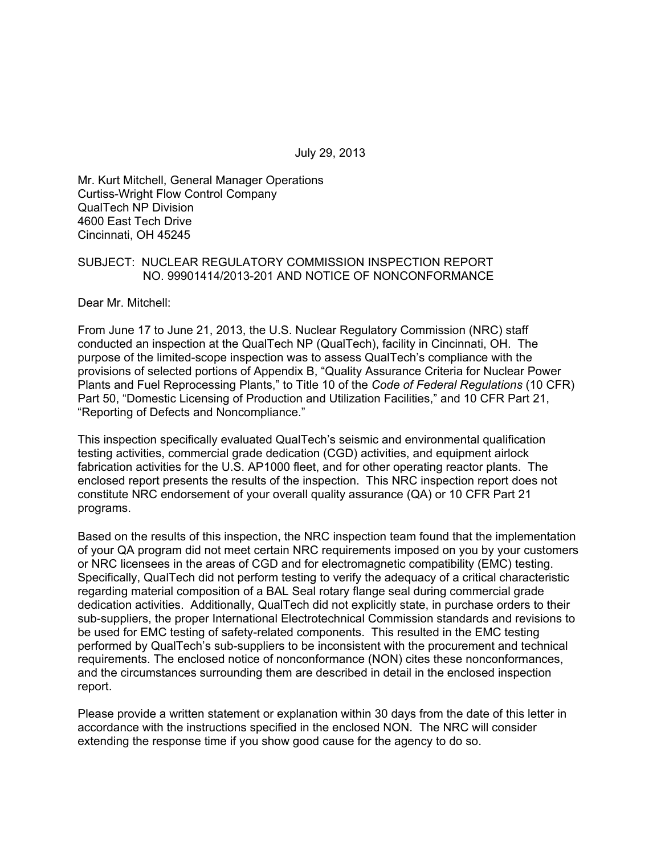July 29, 2013

Mr. Kurt Mitchell, General Manager Operations Curtiss-Wright Flow Control Company QualTech NP Division 4600 East Tech Drive Cincinnati, OH 45245

#### SUBJECT: NUCLEAR REGULATORY COMMISSION INSPECTION REPORT NO. 99901414/2013-201 AND NOTICE OF NONCONFORMANCE

Dear Mr. Mitchell:

From June 17 to June 21, 2013, the U.S. Nuclear Regulatory Commission (NRC) staff conducted an inspection at the QualTech NP (QualTech), facility in Cincinnati, OH. The purpose of the limited-scope inspection was to assess QualTech's compliance with the provisions of selected portions of Appendix B, "Quality Assurance Criteria for Nuclear Power Plants and Fuel Reprocessing Plants," to Title 10 of the *Code of Federal Regulations* (10 CFR) Part 50, "Domestic Licensing of Production and Utilization Facilities," and 10 CFR Part 21, "Reporting of Defects and Noncompliance."

This inspection specifically evaluated QualTech's seismic and environmental qualification testing activities, commercial grade dedication (CGD) activities, and equipment airlock fabrication activities for the U.S. AP1000 fleet, and for other operating reactor plants. The enclosed report presents the results of the inspection. This NRC inspection report does not constitute NRC endorsement of your overall quality assurance (QA) or 10 CFR Part 21 programs.

Based on the results of this inspection, the NRC inspection team found that the implementation of your QA program did not meet certain NRC requirements imposed on you by your customers or NRC licensees in the areas of CGD and for electromagnetic compatibility (EMC) testing. Specifically, QualTech did not perform testing to verify the adequacy of a critical characteristic regarding material composition of a BAL Seal rotary flange seal during commercial grade dedication activities. Additionally, QualTech did not explicitly state, in purchase orders to their sub-suppliers, the proper International Electrotechnical Commission standards and revisions to be used for EMC testing of safety-related components. This resulted in the EMC testing performed by QualTech's sub-suppliers to be inconsistent with the procurement and technical requirements. The enclosed notice of nonconformance (NON) cites these nonconformances, and the circumstances surrounding them are described in detail in the enclosed inspection report.

Please provide a written statement or explanation within 30 days from the date of this letter in accordance with the instructions specified in the enclosed NON. The NRC will consider extending the response time if you show good cause for the agency to do so.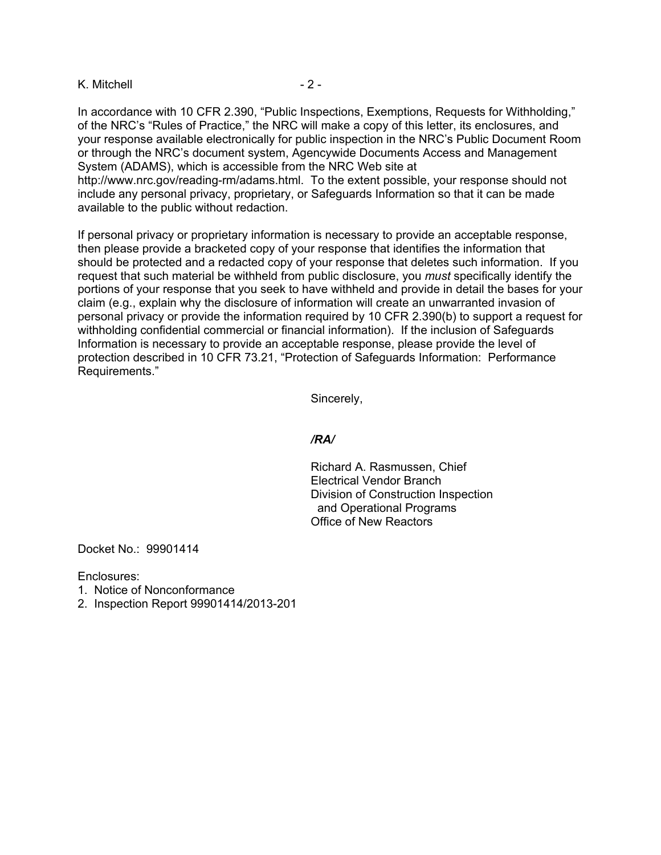#### K. Mitchell  $-2 -$

In accordance with 10 CFR 2.390, "Public Inspections, Exemptions, Requests for Withholding," of the NRC's "Rules of Practice," the NRC will make a copy of this letter, its enclosures, and your response available electronically for public inspection in the NRC's Public Document Room or through the NRC's document system, Agencywide Documents Access and Management System (ADAMS), which is accessible from the NRC Web site at

http://www.nrc.gov/reading-rm/adams.html. To the extent possible, your response should not include any personal privacy, proprietary, or Safeguards Information so that it can be made available to the public without redaction.

If personal privacy or proprietary information is necessary to provide an acceptable response, then please provide a bracketed copy of your response that identifies the information that should be protected and a redacted copy of your response that deletes such information. If you request that such material be withheld from public disclosure, you *must* specifically identify the portions of your response that you seek to have withheld and provide in detail the bases for your claim (e.g., explain why the disclosure of information will create an unwarranted invasion of personal privacy or provide the information required by 10 CFR 2.390(b) to support a request for withholding confidential commercial or financial information). If the inclusion of Safeguards Information is necessary to provide an acceptable response, please provide the level of protection described in 10 CFR 73.21, "Protection of Safeguards Information: Performance Requirements."

Sincerely,

#### */RA/*

Richard A. Rasmussen, Chief Electrical Vendor Branch Division of Construction Inspection and Operational Programs Office of New Reactors

Docket No.: 99901414

Enclosures:

- 1. Notice of Nonconformance
- 2. Inspection Report 99901414/2013-201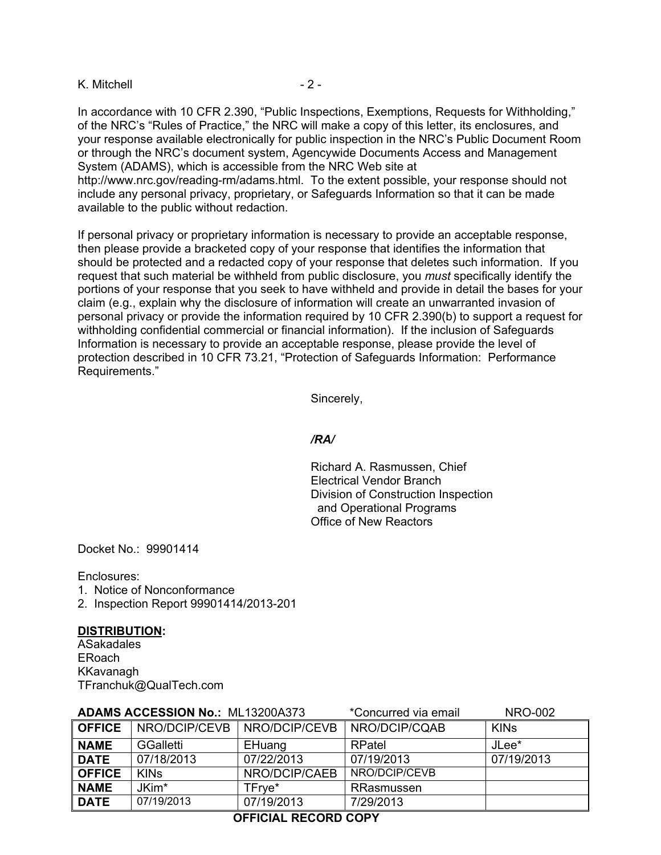#### K. Mitchell  $-2 -$

In accordance with 10 CFR 2.390, "Public Inspections, Exemptions, Requests for Withholding," of the NRC's "Rules of Practice," the NRC will make a copy of this letter, its enclosures, and your response available electronically for public inspection in the NRC's Public Document Room or through the NRC's document system, Agencywide Documents Access and Management System (ADAMS), which is accessible from the NRC Web site at

http://www.nrc.gov/reading-rm/adams.html. To the extent possible, your response should not include any personal privacy, proprietary, or Safeguards Information so that it can be made available to the public without redaction.

If personal privacy or proprietary information is necessary to provide an acceptable response, then please provide a bracketed copy of your response that identifies the information that should be protected and a redacted copy of your response that deletes such information. If you request that such material be withheld from public disclosure, you *must* specifically identify the portions of your response that you seek to have withheld and provide in detail the bases for your claim (e.g., explain why the disclosure of information will create an unwarranted invasion of personal privacy or provide the information required by 10 CFR 2.390(b) to support a request for withholding confidential commercial or financial information). If the inclusion of Safeguards Information is necessary to provide an acceptable response, please provide the level of protection described in 10 CFR 73.21, "Protection of Safeguards Information: Performance Requirements."

Sincerely,

#### */RA/*

Richard A. Rasmussen, Chief Electrical Vendor Branch Division of Construction Inspection and Operational Programs Office of New Reactors

Docket No.: 99901414

Enclosures:

- 1. Notice of Nonconformance
- 2. Inspection Report 99901414/2013-201

#### **DISTRIBUTION:**

ASakadales ERoach KKavanagh TFranchuk@QualTech.com

| <b>ADAMS ACCESSION No.: ML13200A373</b> |                  |               | *Concurred via email | <b>NRO-002</b> |
|-----------------------------------------|------------------|---------------|----------------------|----------------|
| <b>OFFICE</b>                           | NRO/DCIP/CEVB    | NRO/DCIP/CEVB | NRO/DCIP/CQAB        | <b>KINS</b>    |
| <b>NAME</b>                             | <b>GGalletti</b> | EHuang        | RPatel               | JLee*          |
| <b>DATE</b>                             | 07/18/2013       | 07/22/2013    | 07/19/2013           | 07/19/2013     |
| <b>OFFICE</b>                           | <b>KINS</b>      | NRO/DCIP/CAEB | NRO/DCIP/CEVB        |                |
| <b>NAME</b>                             | JKim*            | TFrve*        | RRasmussen           |                |
| <b>DATE</b>                             | 07/19/2013       | 07/19/2013    | 7/29/2013            |                |

# **OFFICIAL RECORD COPY**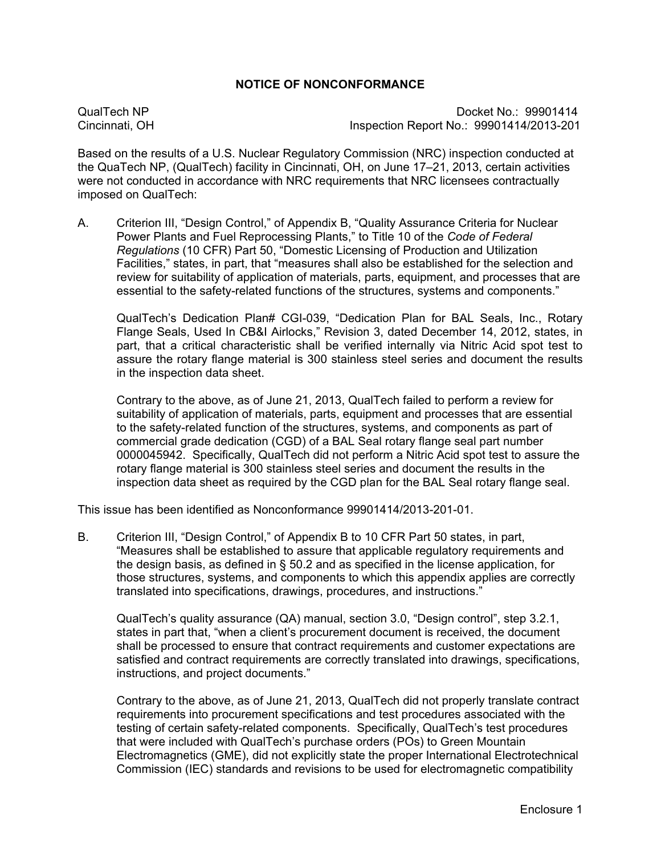### **NOTICE OF NONCONFORMANCE**

QualTech NP Docket No.: 99901414 Cincinnati, OH Inspection Report No.: 99901414/2013-201

Based on the results of a U.S. Nuclear Regulatory Commission (NRC) inspection conducted at the QuaTech NP, (QualTech) facility in Cincinnati, OH, on June 17–21, 2013, certain activities were not conducted in accordance with NRC requirements that NRC licensees contractually imposed on QualTech:

A. Criterion III, "Design Control," of Appendix B, "Quality Assurance Criteria for Nuclear Power Plants and Fuel Reprocessing Plants," to Title 10 of the *Code of Federal Regulations* (10 CFR) Part 50, "Domestic Licensing of Production and Utilization Facilities," states, in part, that "measures shall also be established for the selection and review for suitability of application of materials, parts, equipment, and processes that are essential to the safety-related functions of the structures, systems and components."

QualTech's Dedication Plan# CGI-039, "Dedication Plan for BAL Seals, Inc., Rotary Flange Seals, Used In CB&I Airlocks," Revision 3, dated December 14, 2012, states, in part, that a critical characteristic shall be verified internally via Nitric Acid spot test to assure the rotary flange material is 300 stainless steel series and document the results in the inspection data sheet.

Contrary to the above, as of June 21, 2013, QualTech failed to perform a review for suitability of application of materials, parts, equipment and processes that are essential to the safety-related function of the structures, systems, and components as part of commercial grade dedication (CGD) of a BAL Seal rotary flange seal part number 0000045942. Specifically, QualTech did not perform a Nitric Acid spot test to assure the rotary flange material is 300 stainless steel series and document the results in the inspection data sheet as required by the CGD plan for the BAL Seal rotary flange seal.

This issue has been identified as Nonconformance 99901414/2013-201-01.

B. Criterion III, "Design Control," of Appendix B to 10 CFR Part 50 states, in part, "Measures shall be established to assure that applicable regulatory requirements and the design basis, as defined in § 50.2 and as specified in the license application, for those structures, systems, and components to which this appendix applies are correctly translated into specifications, drawings, procedures, and instructions."

QualTech's quality assurance (QA) manual, section 3.0, "Design control", step 3.2.1, states in part that, "when a client's procurement document is received, the document shall be processed to ensure that contract requirements and customer expectations are satisfied and contract requirements are correctly translated into drawings, specifications, instructions, and project documents."

Contrary to the above, as of June 21, 2013, QualTech did not properly translate contract requirements into procurement specifications and test procedures associated with the testing of certain safety-related components. Specifically, QualTech's test procedures that were included with QualTech's purchase orders (POs) to Green Mountain Electromagnetics (GME), did not explicitly state the proper International Electrotechnical Commission (IEC) standards and revisions to be used for electromagnetic compatibility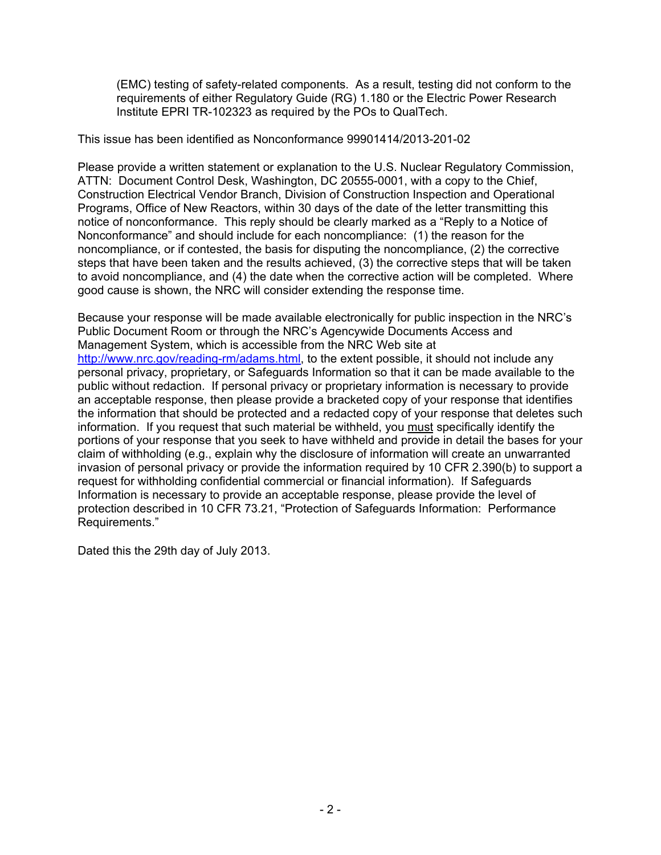(EMC) testing of safety-related components. As a result, testing did not conform to the requirements of either Regulatory Guide (RG) 1.180 or the Electric Power Research Institute EPRI TR-102323 as required by the POs to QualTech.

This issue has been identified as Nonconformance 99901414/2013-201-02

Please provide a written statement or explanation to the U.S. Nuclear Regulatory Commission, ATTN: Document Control Desk, Washington, DC 20555-0001, with a copy to the Chief, Construction Electrical Vendor Branch, Division of Construction Inspection and Operational Programs, Office of New Reactors, within 30 days of the date of the letter transmitting this notice of nonconformance. This reply should be clearly marked as a "Reply to a Notice of Nonconformance" and should include for each noncompliance: (1) the reason for the noncompliance, or if contested, the basis for disputing the noncompliance, (2) the corrective steps that have been taken and the results achieved, (3) the corrective steps that will be taken to avoid noncompliance, and (4) the date when the corrective action will be completed. Where good cause is shown, the NRC will consider extending the response time.

Because your response will be made available electronically for public inspection in the NRC's Public Document Room or through the NRC's Agencywide Documents Access and Management System, which is accessible from the NRC Web site at http://www.nrc.gov/reading-rm/adams.html, to the extent possible, it should not include any personal privacy, proprietary, or Safeguards Information so that it can be made available to the public without redaction. If personal privacy or proprietary information is necessary to provide an acceptable response, then please provide a bracketed copy of your response that identifies the information that should be protected and a redacted copy of your response that deletes such information. If you request that such material be withheld, you must specifically identify the portions of your response that you seek to have withheld and provide in detail the bases for your claim of withholding (e.g., explain why the disclosure of information will create an unwarranted invasion of personal privacy or provide the information required by 10 CFR 2.390(b) to support a request for withholding confidential commercial or financial information). If Safeguards Information is necessary to provide an acceptable response, please provide the level of protection described in 10 CFR 73.21, "Protection of Safeguards Information: Performance Requirements."

Dated this the 29th day of July 2013.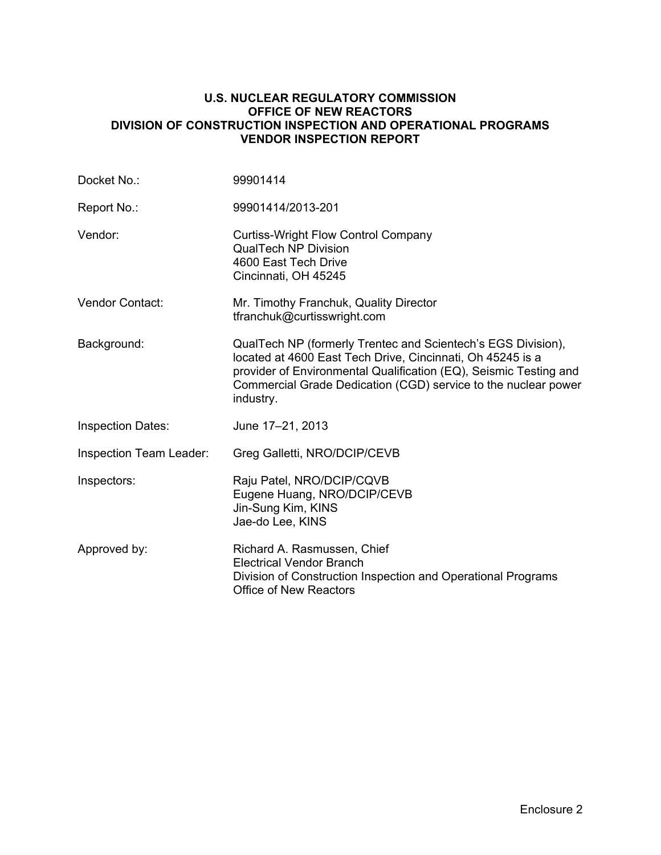#### **U.S. NUCLEAR REGULATORY COMMISSION OFFICE OF NEW REACTORS DIVISION OF CONSTRUCTION INSPECTION AND OPERATIONAL PROGRAMS VENDOR INSPECTION REPORT**

| Docket No.:                    | 99901414                                                                                                                                                                                                                                                                       |
|--------------------------------|--------------------------------------------------------------------------------------------------------------------------------------------------------------------------------------------------------------------------------------------------------------------------------|
| Report No.:                    | 99901414/2013-201                                                                                                                                                                                                                                                              |
| Vendor:                        | <b>Curtiss-Wright Flow Control Company</b><br><b>QualTech NP Division</b><br>4600 East Tech Drive<br>Cincinnati, OH 45245                                                                                                                                                      |
| Vendor Contact:                | Mr. Timothy Franchuk, Quality Director<br>tfranchuk@curtisswright.com                                                                                                                                                                                                          |
| Background:                    | QualTech NP (formerly Trentec and Scientech's EGS Division),<br>located at 4600 East Tech Drive, Cincinnati, Oh 45245 is a<br>provider of Environmental Qualification (EQ), Seismic Testing and<br>Commercial Grade Dedication (CGD) service to the nuclear power<br>industry. |
| <b>Inspection Dates:</b>       | June 17-21, 2013                                                                                                                                                                                                                                                               |
| <b>Inspection Team Leader:</b> | Greg Galletti, NRO/DCIP/CEVB                                                                                                                                                                                                                                                   |
| Inspectors:                    | Raju Patel, NRO/DCIP/CQVB<br>Eugene Huang, NRO/DCIP/CEVB<br>Jin-Sung Kim, KINS<br>Jae-do Lee, KINS                                                                                                                                                                             |
| Approved by:                   | Richard A. Rasmussen, Chief<br><b>Electrical Vendor Branch</b><br>Division of Construction Inspection and Operational Programs<br><b>Office of New Reactors</b>                                                                                                                |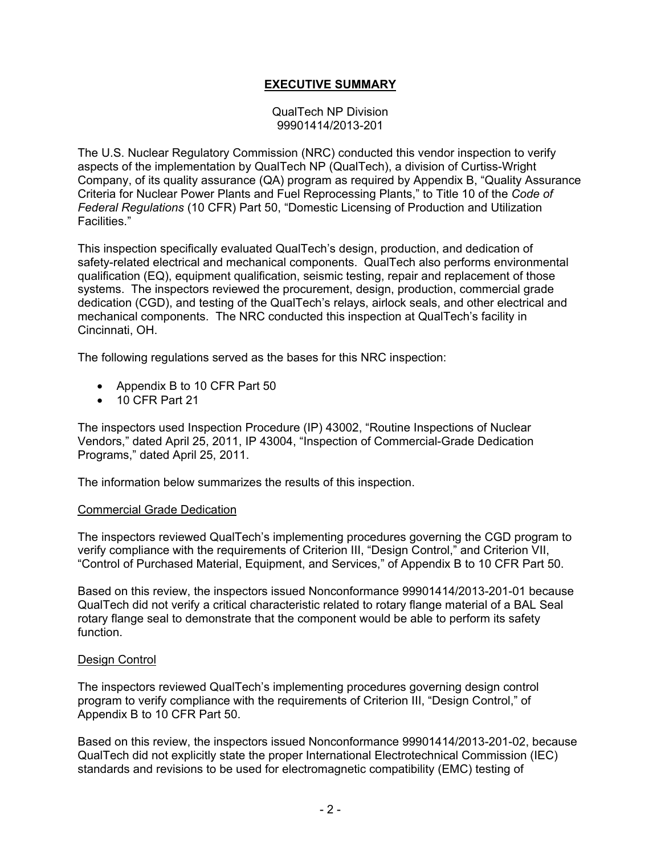# **EXECUTIVE SUMMARY**

QualTech NP Division 99901414/2013-201

The U.S. Nuclear Regulatory Commission (NRC) conducted this vendor inspection to verify aspects of the implementation by QualTech NP (QualTech), a division of Curtiss-Wright Company, of its quality assurance (QA) program as required by Appendix B, "Quality Assurance Criteria for Nuclear Power Plants and Fuel Reprocessing Plants," to Title 10 of the *Code of Federal Regulations* (10 CFR) Part 50, "Domestic Licensing of Production and Utilization Facilities."

This inspection specifically evaluated QualTech's design, production, and dedication of safety-related electrical and mechanical components. QualTech also performs environmental qualification (EQ), equipment qualification, seismic testing, repair and replacement of those systems. The inspectors reviewed the procurement, design, production, commercial grade dedication (CGD), and testing of the QualTech's relays, airlock seals, and other electrical and mechanical components. The NRC conducted this inspection at QualTech's facility in Cincinnati, OH.

The following regulations served as the bases for this NRC inspection:

- Appendix B to 10 CFR Part 50
- 10 CFR Part 21

The inspectors used Inspection Procedure (IP) 43002, "Routine Inspections of Nuclear Vendors," dated April 25, 2011, IP 43004, "Inspection of Commercial-Grade Dedication Programs," dated April 25, 2011.

The information below summarizes the results of this inspection.

#### Commercial Grade Dedication

The inspectors reviewed QualTech's implementing procedures governing the CGD program to verify compliance with the requirements of Criterion III, "Design Control," and Criterion VII, "Control of Purchased Material, Equipment, and Services," of Appendix B to 10 CFR Part 50.

Based on this review, the inspectors issued Nonconformance 99901414/2013-201-01 because QualTech did not verify a critical characteristic related to rotary flange material of a BAL Seal rotary flange seal to demonstrate that the component would be able to perform its safety function.

#### Design Control

The inspectors reviewed QualTech's implementing procedures governing design control program to verify compliance with the requirements of Criterion III, "Design Control," of Appendix B to 10 CFR Part 50.

Based on this review, the inspectors issued Nonconformance 99901414/2013-201-02, because QualTech did not explicitly state the proper International Electrotechnical Commission (IEC) standards and revisions to be used for electromagnetic compatibility (EMC) testing of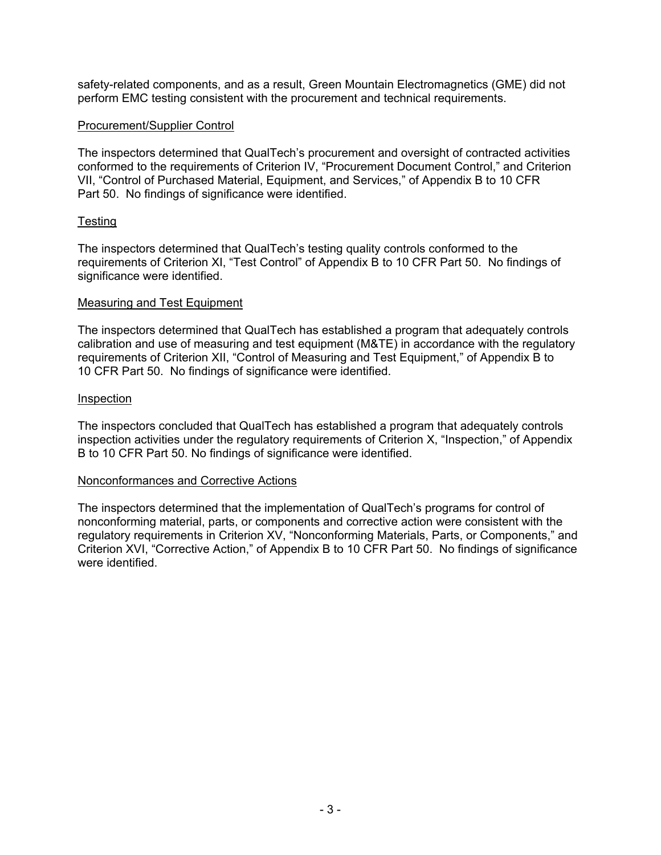safety-related components, and as a result, Green Mountain Electromagnetics (GME) did not perform EMC testing consistent with the procurement and technical requirements.

#### Procurement/Supplier Control

The inspectors determined that QualTech's procurement and oversight of contracted activities conformed to the requirements of Criterion IV, "Procurement Document Control," and Criterion VII, "Control of Purchased Material, Equipment, and Services," of Appendix B to 10 CFR Part 50. No findings of significance were identified.

#### Testing

The inspectors determined that QualTech's testing quality controls conformed to the requirements of Criterion XI, "Test Control" of Appendix B to 10 CFR Part 50. No findings of significance were identified.

#### Measuring and Test Equipment

The inspectors determined that QualTech has established a program that adequately controls calibration and use of measuring and test equipment (M&TE) in accordance with the regulatory requirements of Criterion XII, "Control of Measuring and Test Equipment," of Appendix B to 10 CFR Part 50. No findings of significance were identified.

#### Inspection

The inspectors concluded that QualTech has established a program that adequately controls inspection activities under the regulatory requirements of Criterion X, "Inspection," of Appendix B to 10 CFR Part 50. No findings of significance were identified.

### Nonconformances and Corrective Actions

The inspectors determined that the implementation of QualTech's programs for control of nonconforming material, parts, or components and corrective action were consistent with the regulatory requirements in Criterion XV, "Nonconforming Materials, Parts, or Components," and Criterion XVI, "Corrective Action," of Appendix B to 10 CFR Part 50. No findings of significance were identified.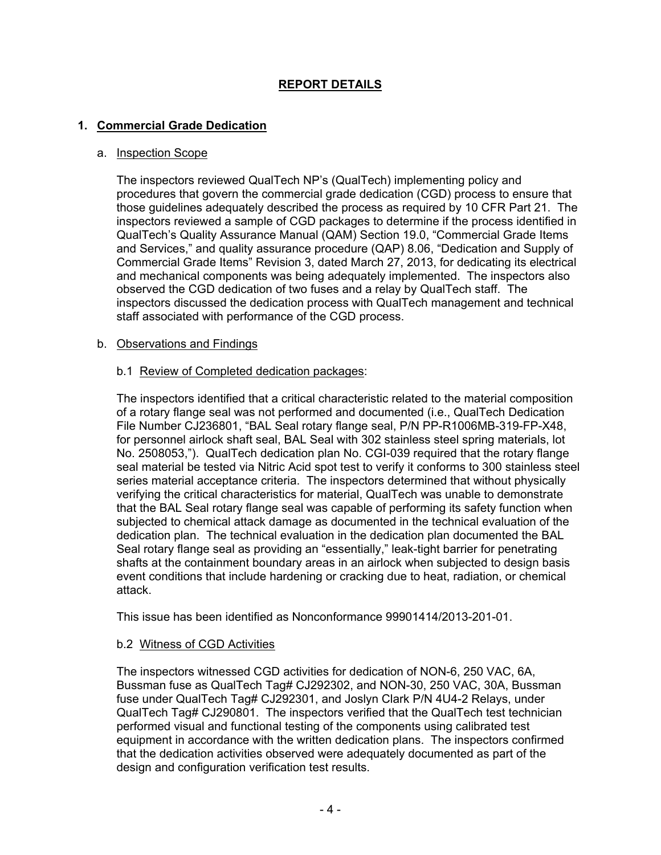# **REPORT DETAILS**

# **1. Commercial Grade Dedication**

#### a. Inspection Scope

The inspectors reviewed QualTech NP's (QualTech) implementing policy and procedures that govern the commercial grade dedication (CGD) process to ensure that those guidelines adequately described the process as required by 10 CFR Part 21. The inspectors reviewed a sample of CGD packages to determine if the process identified in QualTech's Quality Assurance Manual (QAM) Section 19.0, "Commercial Grade Items and Services," and quality assurance procedure (QAP) 8.06, "Dedication and Supply of Commercial Grade Items" Revision 3, dated March 27, 2013, for dedicating its electrical and mechanical components was being adequately implemented. The inspectors also observed the CGD dedication of two fuses and a relay by QualTech staff. The inspectors discussed the dedication process with QualTech management and technical staff associated with performance of the CGD process.

#### b. Observations and Findings

#### b.1 Review of Completed dedication packages:

The inspectors identified that a critical characteristic related to the material composition of a rotary flange seal was not performed and documented (i.e., QualTech Dedication File Number CJ236801, "BAL Seal rotary flange seal, P/N PP-R1006MB-319-FP-X48, for personnel airlock shaft seal, BAL Seal with 302 stainless steel spring materials, lot No. 2508053,"). QualTech dedication plan No. CGI-039 required that the rotary flange seal material be tested via Nitric Acid spot test to verify it conforms to 300 stainless steel series material acceptance criteria. The inspectors determined that without physically verifying the critical characteristics for material, QualTech was unable to demonstrate that the BAL Seal rotary flange seal was capable of performing its safety function when subjected to chemical attack damage as documented in the technical evaluation of the dedication plan. The technical evaluation in the dedication plan documented the BAL Seal rotary flange seal as providing an "essentially," leak-tight barrier for penetrating shafts at the containment boundary areas in an airlock when subjected to design basis event conditions that include hardening or cracking due to heat, radiation, or chemical attack.

This issue has been identified as Nonconformance 99901414/2013-201-01.

### b.2 Witness of CGD Activities

The inspectors witnessed CGD activities for dedication of NON-6, 250 VAC, 6A, Bussman fuse as QualTech Tag# CJ292302, and NON-30, 250 VAC, 30A, Bussman fuse under QualTech Tag# CJ292301, and Joslyn Clark P/N 4U4-2 Relays, under QualTech Tag# CJ290801. The inspectors verified that the QualTech test technician performed visual and functional testing of the components using calibrated test equipment in accordance with the written dedication plans. The inspectors confirmed that the dedication activities observed were adequately documented as part of the design and configuration verification test results.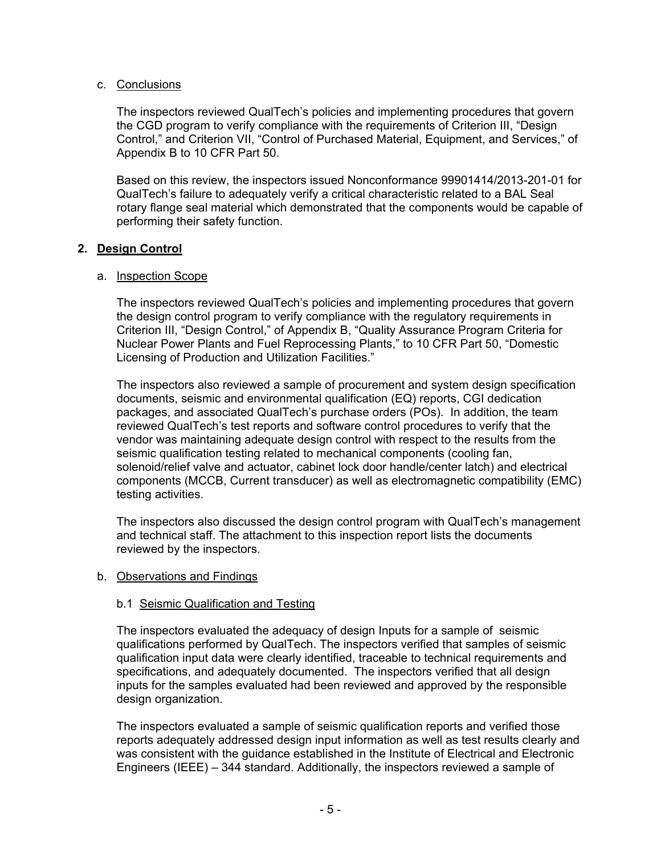#### c. Conclusions

The inspectors reviewed QualTech's policies and implementing procedures that govern the CGD program to verify compliance with the requirements of Criterion III, "Design Control," and Criterion VII, "Control of Purchased Material, Equipment, and Services," of Appendix B to 10 CFR Part 50.

Based on this review, the inspectors issued Nonconformance 99901414/2013-201-01 for QualTech's failure to adequately verify a critical characteristic related to a BAL Seal rotary flange seal material which demonstrated that the components would be capable of performing their safety function.

#### **2. Design Control**

#### a. Inspection Scope

The inspectors reviewed QualTech's policies and implementing procedures that govern the design control program to verify compliance with the regulatory requirements in Criterion III, "Design Control," of Appendix B, "Quality Assurance Program Criteria for Nuclear Power Plants and Fuel Reprocessing Plants," to 10 CFR Part 50, "Domestic Licensing of Production and Utilization Facilities."

The inspectors also reviewed a sample of procurement and system design specification documents, seismic and environmental qualification (EQ) reports, CGI dedication packages, and associated QualTech's purchase orders (POs). In addition, the team reviewed QualTech's test reports and software control procedures to verify that the vendor was maintaining adequate design control with respect to the results from the seismic qualification testing related to mechanical components (cooling fan, solenoid/relief valve and actuator, cabinet lock door handle/center latch) and electrical components (MCCB, Current transducer) as well as electromagnetic compatibility (EMC) testing activities.

The inspectors also discussed the design control program with QualTech's management and technical staff. The attachment to this inspection report lists the documents reviewed by the inspectors.

#### b. Observations and Findings

### b.1 Seismic Qualification and Testing

The inspectors evaluated the adequacy of design Inputs for a sample of seismic qualifications performed by QualTech. The inspectors verified that samples of seismic qualification input data were clearly identified, traceable to technical requirements and specifications, and adequately documented. The inspectors verified that all design inputs for the samples evaluated had been reviewed and approved by the responsible design organization.

The inspectors evaluated a sample of seismic qualification reports and verified those reports adequately addressed design input information as well as test results clearly and was consistent with the guidance established in the Institute of Electrical and Electronic Engineers (IEEE) – 344 standard. Additionally, the inspectors reviewed a sample of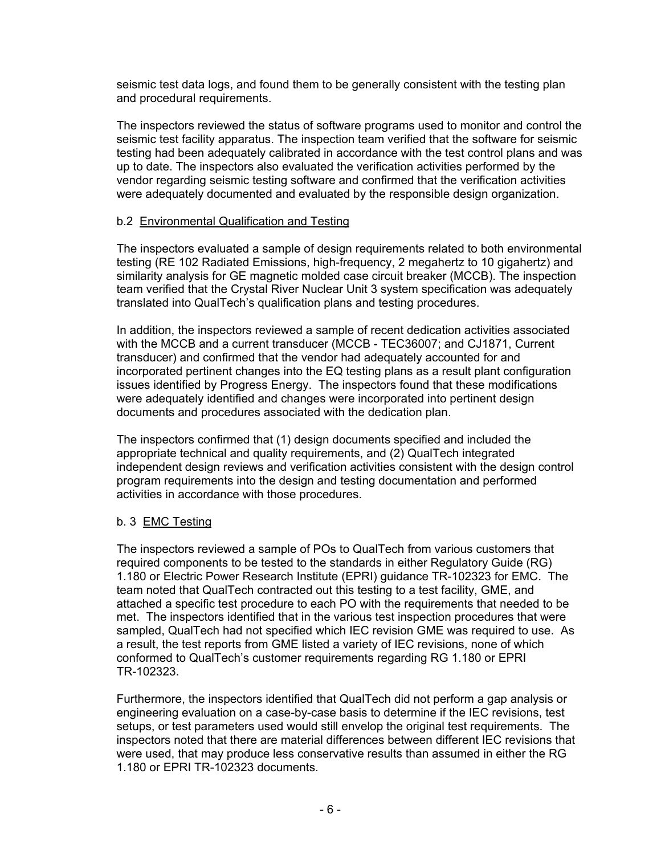seismic test data logs, and found them to be generally consistent with the testing plan and procedural requirements.

The inspectors reviewed the status of software programs used to monitor and control the seismic test facility apparatus. The inspection team verified that the software for seismic testing had been adequately calibrated in accordance with the test control plans and was up to date. The inspectors also evaluated the verification activities performed by the vendor regarding seismic testing software and confirmed that the verification activities were adequately documented and evaluated by the responsible design organization.

### b.2 Environmental Qualification and Testing

The inspectors evaluated a sample of design requirements related to both environmental testing (RE 102 Radiated Emissions, high-frequency, 2 megahertz to 10 gigahertz) and similarity analysis for GE magnetic molded case circuit breaker (MCCB). The inspection team verified that the Crystal River Nuclear Unit 3 system specification was adequately translated into QualTech's qualification plans and testing procedures.

In addition, the inspectors reviewed a sample of recent dedication activities associated with the MCCB and a current transducer (MCCB - TEC36007; and CJ1871, Current transducer) and confirmed that the vendor had adequately accounted for and incorporated pertinent changes into the EQ testing plans as a result plant configuration issues identified by Progress Energy. The inspectors found that these modifications were adequately identified and changes were incorporated into pertinent design documents and procedures associated with the dedication plan.

The inspectors confirmed that (1) design documents specified and included the appropriate technical and quality requirements, and (2) QualTech integrated independent design reviews and verification activities consistent with the design control program requirements into the design and testing documentation and performed activities in accordance with those procedures.

### b. 3 EMC Testing

The inspectors reviewed a sample of POs to QualTech from various customers that required components to be tested to the standards in either Regulatory Guide (RG) 1.180 or Electric Power Research Institute (EPRI) guidance TR-102323 for EMC. The team noted that QualTech contracted out this testing to a test facility, GME, and attached a specific test procedure to each PO with the requirements that needed to be met. The inspectors identified that in the various test inspection procedures that were sampled, QualTech had not specified which IEC revision GME was required to use. As a result, the test reports from GME listed a variety of IEC revisions, none of which conformed to QualTech's customer requirements regarding RG 1.180 or EPRI TR-102323.

Furthermore, the inspectors identified that QualTech did not perform a gap analysis or engineering evaluation on a case-by-case basis to determine if the IEC revisions, test setups, or test parameters used would still envelop the original test requirements. The inspectors noted that there are material differences between different IEC revisions that were used, that may produce less conservative results than assumed in either the RG 1.180 or EPRI TR-102323 documents.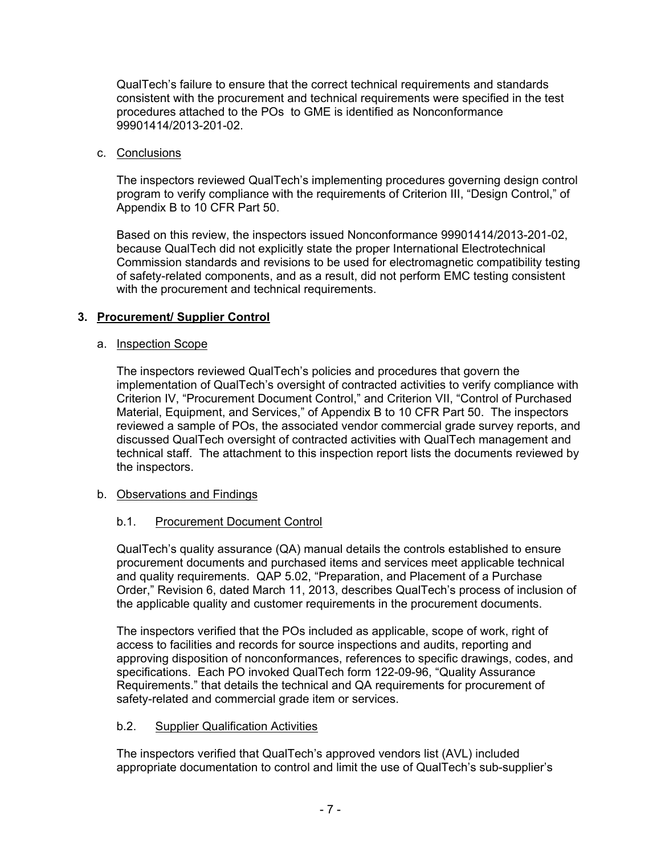QualTech's failure to ensure that the correct technical requirements and standards consistent with the procurement and technical requirements were specified in the test procedures attached to the POs to GME is identified as Nonconformance 99901414/2013-201-02.

### c. Conclusions

The inspectors reviewed QualTech's implementing procedures governing design control program to verify compliance with the requirements of Criterion III, "Design Control," of Appendix B to 10 CFR Part 50.

Based on this review, the inspectors issued Nonconformance 99901414/2013-201-02, because QualTech did not explicitly state the proper International Electrotechnical Commission standards and revisions to be used for electromagnetic compatibility testing of safety-related components, and as a result, did not perform EMC testing consistent with the procurement and technical requirements.

# **3. Procurement/ Supplier Control**

### a. Inspection Scope

The inspectors reviewed QualTech's policies and procedures that govern the implementation of QualTech's oversight of contracted activities to verify compliance with Criterion IV, "Procurement Document Control," and Criterion VII, "Control of Purchased Material, Equipment, and Services," of Appendix B to 10 CFR Part 50. The inspectors reviewed a sample of POs, the associated vendor commercial grade survey reports, and discussed QualTech oversight of contracted activities with QualTech management and technical staff. The attachment to this inspection report lists the documents reviewed by the inspectors.

### b. Observations and Findings

# b.1. Procurement Document Control

QualTech's quality assurance (QA) manual details the controls established to ensure procurement documents and purchased items and services meet applicable technical and quality requirements. QAP 5.02, "Preparation, and Placement of a Purchase Order," Revision 6, dated March 11, 2013, describes QualTech's process of inclusion of the applicable quality and customer requirements in the procurement documents.

The inspectors verified that the POs included as applicable, scope of work, right of access to facilities and records for source inspections and audits, reporting and approving disposition of nonconformances, references to specific drawings, codes, and specifications. Each PO invoked QualTech form 122-09-96, "Quality Assurance Requirements." that details the technical and QA requirements for procurement of safety-related and commercial grade item or services.

### b.2. Supplier Qualification Activities

The inspectors verified that QualTech's approved vendors list (AVL) included appropriate documentation to control and limit the use of QualTech's sub-supplier's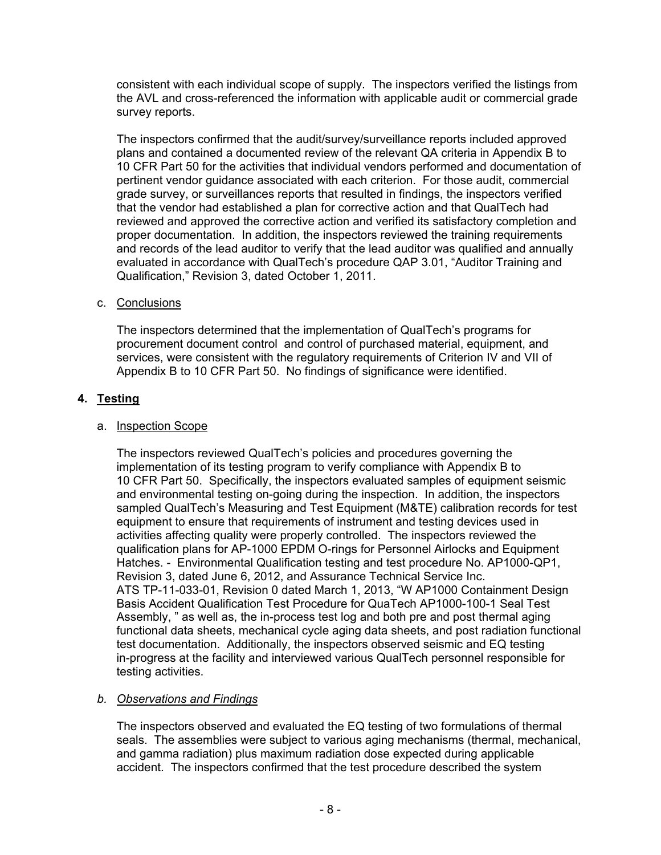consistent with each individual scope of supply. The inspectors verified the listings from the AVL and cross-referenced the information with applicable audit or commercial grade survey reports.

The inspectors confirmed that the audit/survey/surveillance reports included approved plans and contained a documented review of the relevant QA criteria in Appendix B to 10 CFR Part 50 for the activities that individual vendors performed and documentation of pertinent vendor guidance associated with each criterion. For those audit, commercial grade survey, or surveillances reports that resulted in findings, the inspectors verified that the vendor had established a plan for corrective action and that QualTech had reviewed and approved the corrective action and verified its satisfactory completion and proper documentation. In addition, the inspectors reviewed the training requirements and records of the lead auditor to verify that the lead auditor was qualified and annually evaluated in accordance with QualTech's procedure QAP 3.01, "Auditor Training and Qualification," Revision 3, dated October 1, 2011.

### c. Conclusions

The inspectors determined that the implementation of QualTech's programs for procurement document control and control of purchased material, equipment, and services, were consistent with the regulatory requirements of Criterion IV and VII of Appendix B to 10 CFR Part 50. No findings of significance were identified.

### **4. Testing**

#### a. Inspection Scope

The inspectors reviewed QualTech's policies and procedures governing the implementation of its testing program to verify compliance with Appendix B to 10 CFR Part 50. Specifically, the inspectors evaluated samples of equipment seismic and environmental testing on-going during the inspection. In addition, the inspectors sampled QualTech's Measuring and Test Equipment (M&TE) calibration records for test equipment to ensure that requirements of instrument and testing devices used in activities affecting quality were properly controlled. The inspectors reviewed the qualification plans for AP-1000 EPDM O-rings for Personnel Airlocks and Equipment Hatches. - Environmental Qualification testing and test procedure No. AP1000-QP1, Revision 3, dated June 6, 2012, and Assurance Technical Service Inc. ATS TP-11-033-01, Revision 0 dated March 1, 2013, "W AP1000 Containment Design Basis Accident Qualification Test Procedure for QuaTech AP1000-100-1 Seal Test Assembly, " as well as, the in-process test log and both pre and post thermal aging functional data sheets, mechanical cycle aging data sheets, and post radiation functional test documentation. Additionally, the inspectors observed seismic and EQ testing in-progress at the facility and interviewed various QualTech personnel responsible for testing activities.

### *b. Observations and Findings*

The inspectors observed and evaluated the EQ testing of two formulations of thermal seals. The assemblies were subject to various aging mechanisms (thermal, mechanical, and gamma radiation) plus maximum radiation dose expected during applicable accident. The inspectors confirmed that the test procedure described the system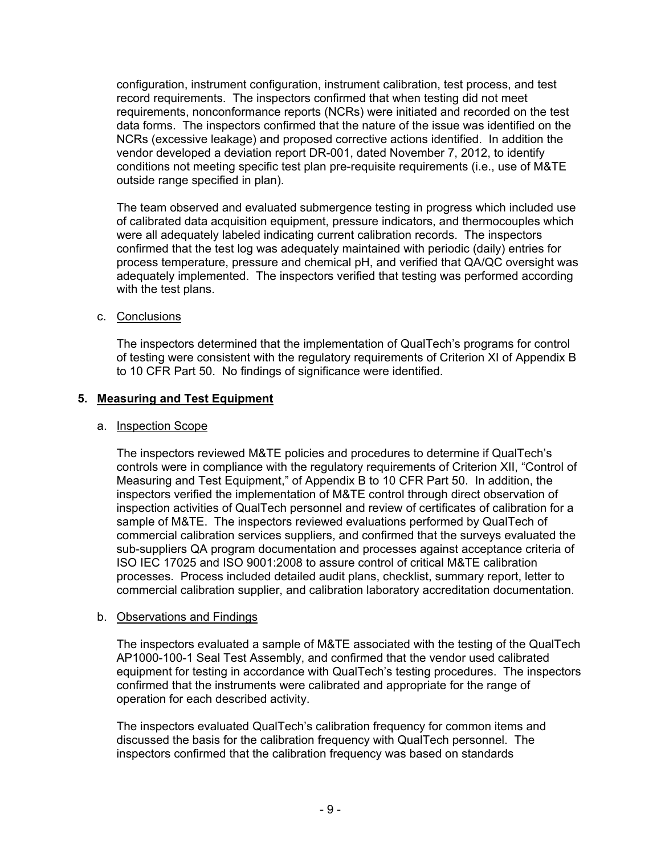configuration, instrument configuration, instrument calibration, test process, and test record requirements. The inspectors confirmed that when testing did not meet requirements, nonconformance reports (NCRs) were initiated and recorded on the test data forms. The inspectors confirmed that the nature of the issue was identified on the NCRs (excessive leakage) and proposed corrective actions identified. In addition the vendor developed a deviation report DR-001, dated November 7, 2012, to identify conditions not meeting specific test plan pre-requisite requirements (i.e., use of M&TE outside range specified in plan).

The team observed and evaluated submergence testing in progress which included use of calibrated data acquisition equipment, pressure indicators, and thermocouples which were all adequately labeled indicating current calibration records. The inspectors confirmed that the test log was adequately maintained with periodic (daily) entries for process temperature, pressure and chemical pH, and verified that QA/QC oversight was adequately implemented. The inspectors verified that testing was performed according with the test plans.

### c. Conclusions

The inspectors determined that the implementation of QualTech's programs for control of testing were consistent with the regulatory requirements of Criterion XI of Appendix B to 10 CFR Part 50. No findings of significance were identified.

#### **5. Measuring and Test Equipment**

#### a. Inspection Scope

The inspectors reviewed M&TE policies and procedures to determine if QualTech's controls were in compliance with the regulatory requirements of Criterion XII, "Control of Measuring and Test Equipment," of Appendix B to 10 CFR Part 50. In addition, the inspectors verified the implementation of M&TE control through direct observation of inspection activities of QualTech personnel and review of certificates of calibration for a sample of M&TE. The inspectors reviewed evaluations performed by QualTech of commercial calibration services suppliers, and confirmed that the surveys evaluated the sub-suppliers QA program documentation and processes against acceptance criteria of ISO IEC 17025 and ISO 9001:2008 to assure control of critical M&TE calibration processes. Process included detailed audit plans, checklist, summary report, letter to commercial calibration supplier, and calibration laboratory accreditation documentation.

#### b. Observations and Findings

The inspectors evaluated a sample of M&TE associated with the testing of the QualTech AP1000-100-1 Seal Test Assembly, and confirmed that the vendor used calibrated equipment for testing in accordance with QualTech's testing procedures. The inspectors confirmed that the instruments were calibrated and appropriate for the range of operation for each described activity.

The inspectors evaluated QualTech's calibration frequency for common items and discussed the basis for the calibration frequency with QualTech personnel. The inspectors confirmed that the calibration frequency was based on standards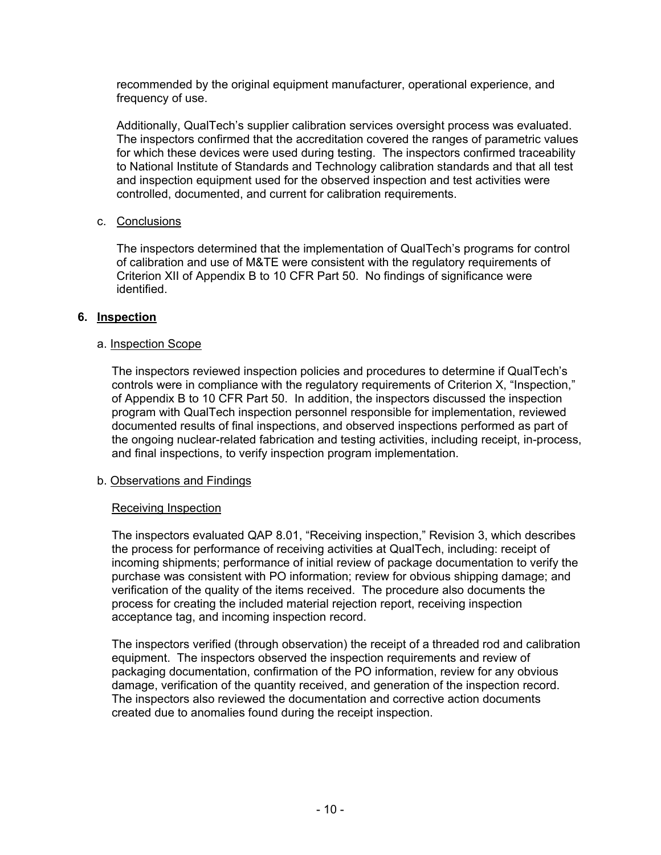recommended by the original equipment manufacturer, operational experience, and frequency of use.

Additionally, QualTech's supplier calibration services oversight process was evaluated. The inspectors confirmed that the accreditation covered the ranges of parametric values for which these devices were used during testing. The inspectors confirmed traceability to National Institute of Standards and Technology calibration standards and that all test and inspection equipment used for the observed inspection and test activities were controlled, documented, and current for calibration requirements.

### c. Conclusions

The inspectors determined that the implementation of QualTech's programs for control of calibration and use of M&TE were consistent with the regulatory requirements of Criterion XII of Appendix B to 10 CFR Part 50. No findings of significance were identified.

#### **6. Inspection**

#### a. Inspection Scope

The inspectors reviewed inspection policies and procedures to determine if QualTech's controls were in compliance with the regulatory requirements of Criterion X, "Inspection," of Appendix B to 10 CFR Part 50. In addition, the inspectors discussed the inspection program with QualTech inspection personnel responsible for implementation, reviewed documented results of final inspections, and observed inspections performed as part of the ongoing nuclear-related fabrication and testing activities, including receipt, in-process, and final inspections, to verify inspection program implementation.

#### b. Observations and Findings

### Receiving Inspection

The inspectors evaluated QAP 8.01, "Receiving inspection," Revision 3, which describes the process for performance of receiving activities at QualTech, including: receipt of incoming shipments; performance of initial review of package documentation to verify the purchase was consistent with PO information; review for obvious shipping damage; and verification of the quality of the items received. The procedure also documents the process for creating the included material rejection report, receiving inspection acceptance tag, and incoming inspection record.

The inspectors verified (through observation) the receipt of a threaded rod and calibration equipment. The inspectors observed the inspection requirements and review of packaging documentation, confirmation of the PO information, review for any obvious damage, verification of the quantity received, and generation of the inspection record. The inspectors also reviewed the documentation and corrective action documents created due to anomalies found during the receipt inspection.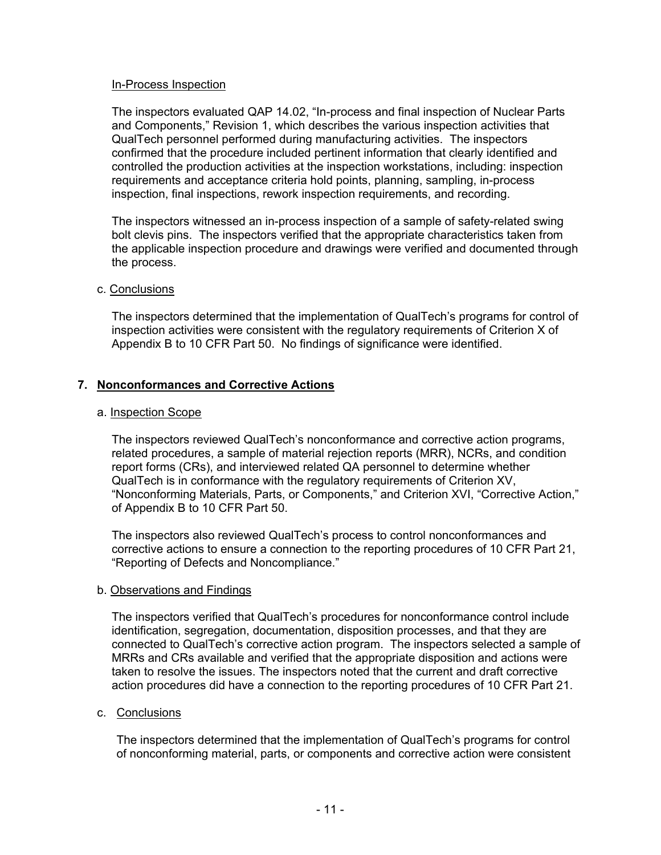#### In-Process Inspection

The inspectors evaluated QAP 14.02, "In-process and final inspection of Nuclear Parts and Components," Revision 1, which describes the various inspection activities that QualTech personnel performed during manufacturing activities. The inspectors confirmed that the procedure included pertinent information that clearly identified and controlled the production activities at the inspection workstations, including: inspection requirements and acceptance criteria hold points, planning, sampling, in-process inspection, final inspections, rework inspection requirements, and recording.

The inspectors witnessed an in-process inspection of a sample of safety-related swing bolt clevis pins. The inspectors verified that the appropriate characteristics taken from the applicable inspection procedure and drawings were verified and documented through the process.

#### c. Conclusions

The inspectors determined that the implementation of QualTech's programs for control of inspection activities were consistent with the regulatory requirements of Criterion X of Appendix B to 10 CFR Part 50. No findings of significance were identified.

### **7. Nonconformances and Corrective Actions**

#### a. Inspection Scope

The inspectors reviewed QualTech's nonconformance and corrective action programs, related procedures, a sample of material rejection reports (MRR), NCRs, and condition report forms (CRs), and interviewed related QA personnel to determine whether QualTech is in conformance with the regulatory requirements of Criterion XV, "Nonconforming Materials, Parts, or Components," and Criterion XVI, "Corrective Action," of Appendix B to 10 CFR Part 50.

The inspectors also reviewed QualTech's process to control nonconformances and corrective actions to ensure a connection to the reporting procedures of 10 CFR Part 21, "Reporting of Defects and Noncompliance."

#### b. Observations and Findings

The inspectors verified that QualTech's procedures for nonconformance control include identification, segregation, documentation, disposition processes, and that they are connected to QualTech's corrective action program. The inspectors selected a sample of MRRs and CRs available and verified that the appropriate disposition and actions were taken to resolve the issues. The inspectors noted that the current and draft corrective action procedures did have a connection to the reporting procedures of 10 CFR Part 21.

#### c. Conclusions

The inspectors determined that the implementation of QualTech's programs for control of nonconforming material, parts, or components and corrective action were consistent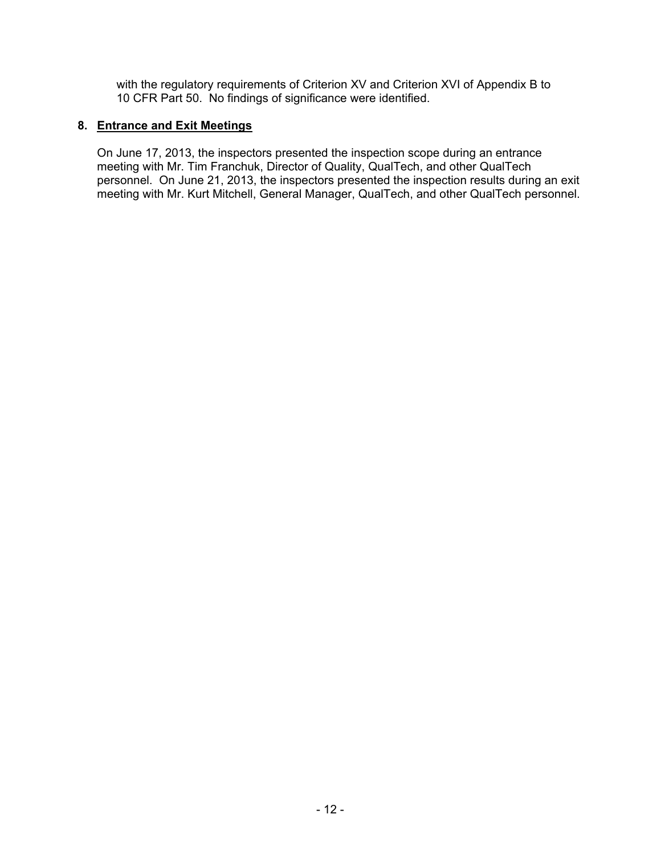with the regulatory requirements of Criterion XV and Criterion XVI of Appendix B to 10 CFR Part 50. No findings of significance were identified.

## **8. Entrance and Exit Meetings**

On June 17, 2013, the inspectors presented the inspection scope during an entrance meeting with Mr. Tim Franchuk, Director of Quality, QualTech, and other QualTech personnel. On June 21, 2013, the inspectors presented the inspection results during an exit meeting with Mr. Kurt Mitchell, General Manager, QualTech, and other QualTech personnel.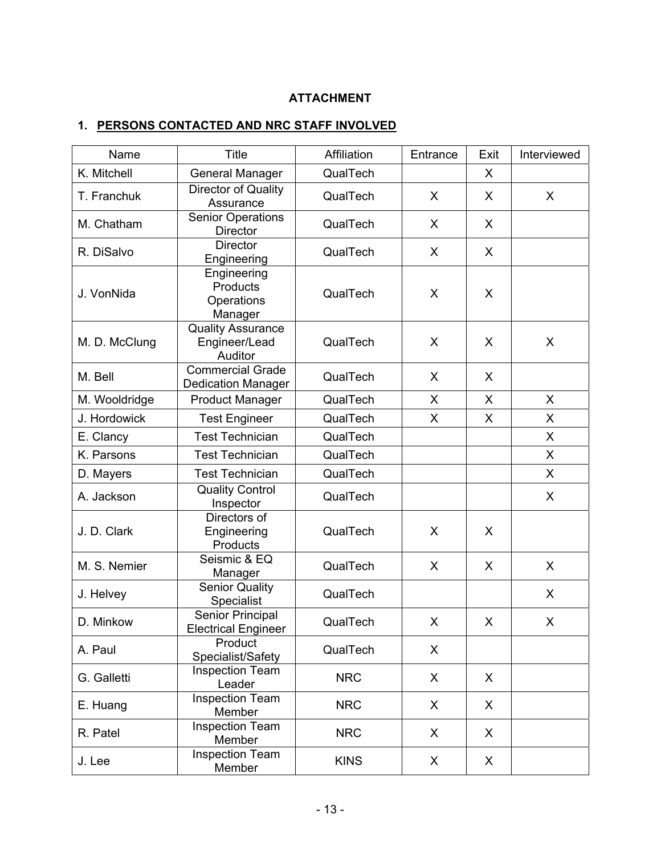# **ATTACHMENT**

# **1. PERSONS CONTACTED AND NRC STAFF INVOLVED**

| Name          | <b>Title</b>                                         | Affiliation | Entrance | Exit | Interviewed |
|---------------|------------------------------------------------------|-------------|----------|------|-------------|
| K. Mitchell   | <b>General Manager</b>                               | QualTech    |          | X    |             |
| T. Franchuk   | Director of Quality<br>Assurance                     | QualTech    | X        | X    | X           |
| M. Chatham    | <b>Senior Operations</b><br><b>Director</b>          | QualTech    | X        | X    |             |
| R. DiSalvo    | <b>Director</b><br>Engineering                       | QualTech    | X        | X    |             |
| J. VonNida    | Engineering<br>Products<br>Operations<br>Manager     | QualTech    | X        | X    |             |
| M. D. McClung | <b>Quality Assurance</b><br>Engineer/Lead<br>Auditor | QualTech    | X        | X    | X           |
| M. Bell       | <b>Commercial Grade</b><br><b>Dedication Manager</b> | QualTech    | X        | X    |             |
| M. Wooldridge | <b>Product Manager</b>                               | QualTech    | X        | X    | X           |
| J. Hordowick  | <b>Test Engineer</b>                                 | QualTech    | X        | X    | X           |
| E. Clancy     | <b>Test Technician</b>                               | QualTech    |          |      | X           |
| K. Parsons    | <b>Test Technician</b>                               | QualTech    |          |      | X           |
| D. Mayers     | <b>Test Technician</b>                               | QualTech    |          |      | X           |
| A. Jackson    | <b>Quality Control</b><br>Inspector                  | QualTech    |          |      | X           |
| J. D. Clark   | Directors of<br>Engineering<br>Products              | QualTech    | X        | X    |             |
| M. S. Nemier  | Seismic & EQ<br>Manager                              | QualTech    | X        | X    | X           |
| J. Helvey     | <b>Senior Quality</b><br>Specialist                  | QualTech    |          |      | X           |
| D. Minkow     | Senior Principal<br><b>Electrical Engineer</b>       | QualTech    | X        | X    | X           |
| A. Paul       | Product<br>Specialist/Safety                         | QualTech    | X        |      |             |
| G. Galletti   | <b>Inspection Team</b><br>Leader                     | <b>NRC</b>  | X        | X    |             |
| E. Huang      | <b>Inspection Team</b><br>Member                     | <b>NRC</b>  | X        | X    |             |
| R. Patel      | <b>Inspection Team</b><br>Member                     | <b>NRC</b>  | X        | X    |             |
| J. Lee        | <b>Inspection Team</b><br>Member                     | <b>KINS</b> | X        | X    |             |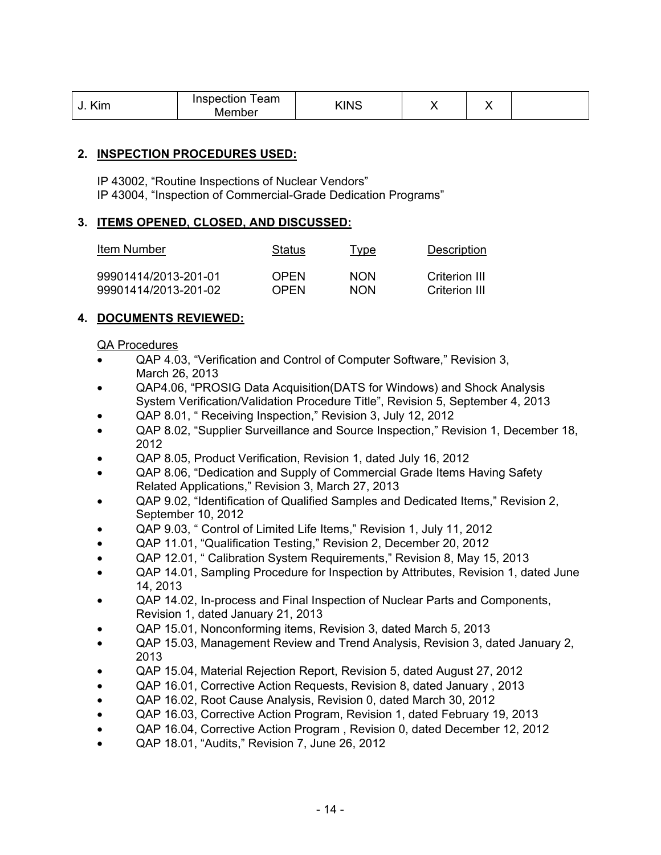| $\cdot$ .<br>≺ım | Inspection<br>eam<br>Member | KINS | . . | $\sim$ |  |
|------------------|-----------------------------|------|-----|--------|--|
|------------------|-----------------------------|------|-----|--------|--|

## **2. INSPECTION PROCEDURES USED:**

IP 43002, "Routine Inspections of Nuclear Vendors" IP 43004, "Inspection of Commercial-Grade Dedication Programs"

### **3. ITEMS OPENED, CLOSED, AND DISCUSSED:**

| Item Number          | <b>Status</b> | <u>Type</u> | Description   |
|----------------------|---------------|-------------|---------------|
| 99901414/2013-201-01 | <b>OPFN</b>   | <b>NON</b>  | Criterion III |
| 99901414/2013-201-02 | <b>OPFN</b>   | <b>NON</b>  | Criterion III |

# **4. DOCUMENTS REVIEWED:**

#### QA Procedures

- QAP 4.03, "Verification and Control of Computer Software," Revision 3, March 26, 2013
- QAP4.06, "PROSIG Data Acquisition(DATS for Windows) and Shock Analysis System Verification/Validation Procedure Title", Revision 5, September 4, 2013
- QAP 8.01, " Receiving Inspection," Revision 3, July 12, 2012
- QAP 8.02, "Supplier Surveillance and Source Inspection," Revision 1, December 18, 2012
- QAP 8.05, Product Verification, Revision 1, dated July 16, 2012
- QAP 8.06, "Dedication and Supply of Commercial Grade Items Having Safety Related Applications," Revision 3, March 27, 2013
- QAP 9.02, "Identification of Qualified Samples and Dedicated Items," Revision 2, September 10, 2012
- QAP 9.03, " Control of Limited Life Items," Revision 1, July 11, 2012
- QAP 11.01, "Qualification Testing," Revision 2, December 20, 2012
- QAP 12.01, " Calibration System Requirements," Revision 8, May 15, 2013
- QAP 14.01, Sampling Procedure for Inspection by Attributes, Revision 1, dated June 14, 2013
- QAP 14.02, In-process and Final Inspection of Nuclear Parts and Components, Revision 1, dated January 21, 2013
- QAP 15.01, Nonconforming items, Revision 3, dated March 5, 2013
- QAP 15.03, Management Review and Trend Analysis, Revision 3, dated January 2, 2013
- QAP 15.04, Material Rejection Report, Revision 5, dated August 27, 2012
- QAP 16.01, Corrective Action Requests, Revision 8, dated January , 2013
- QAP 16.02, Root Cause Analysis, Revision 0, dated March 30, 2012
- QAP 16.03, Corrective Action Program, Revision 1, dated February 19, 2013
- QAP 16.04, Corrective Action Program , Revision 0, dated December 12, 2012
- QAP 18.01, "Audits," Revision 7, June 26, 2012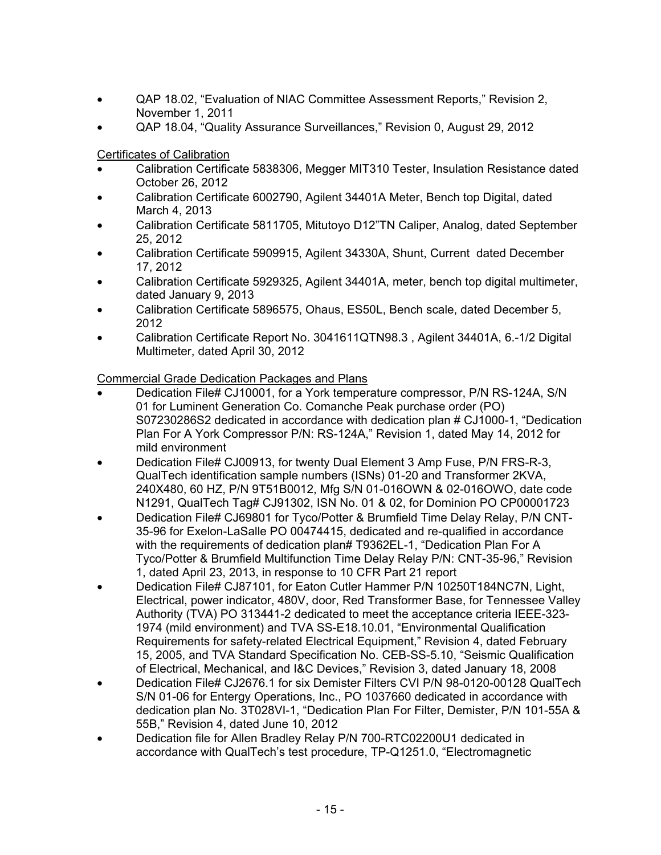- QAP 18.02, "Evaluation of NIAC Committee Assessment Reports," Revision 2, November 1, 2011
- QAP 18.04, "Quality Assurance Surveillances," Revision 0, August 29, 2012

Certificates of Calibration

- Calibration Certificate 5838306, Megger MIT310 Tester, Insulation Resistance dated October 26, 2012
- Calibration Certificate 6002790, Agilent 34401A Meter, Bench top Digital, dated March 4, 2013
- Calibration Certificate 5811705, Mitutoyo D12"TN Caliper, Analog, dated September 25, 2012
- Calibration Certificate 5909915, Agilent 34330A, Shunt, Current dated December 17, 2012
- Calibration Certificate 5929325, Agilent 34401A, meter, bench top digital multimeter, dated January 9, 2013
- Calibration Certificate 5896575, Ohaus, ES50L, Bench scale, dated December 5, 2012
- Calibration Certificate Report No. 3041611QTN98.3 , Agilent 34401A, 6.-1/2 Digital Multimeter, dated April 30, 2012

# Commercial Grade Dedication Packages and Plans

- Dedication File# CJ10001, for a York temperature compressor, P/N RS-124A, S/N 01 for Luminent Generation Co. Comanche Peak purchase order (PO) S07230286S2 dedicated in accordance with dedication plan # CJ1000-1, "Dedication Plan For A York Compressor P/N: RS-124A," Revision 1, dated May 14, 2012 for mild environment
- Dedication File# CJ00913, for twenty Dual Element 3 Amp Fuse, P/N FRS-R-3, QualTech identification sample numbers (ISNs) 01-20 and Transformer 2KVA, 240X480, 60 HZ, P/N 9T51B0012, Mfg S/N 01-016OWN & 02-016OWO, date code N1291, QualTech Tag# CJ91302, ISN No. 01 & 02, for Dominion PO CP00001723
- Dedication File# CJ69801 for Tyco/Potter & Brumfield Time Delay Relay, P/N CNT-35-96 for Exelon-LaSalle PO 00474415, dedicated and re-qualified in accordance with the requirements of dedication plan# T9362EL-1, "Dedication Plan For A Tyco/Potter & Brumfield Multifunction Time Delay Relay P/N: CNT-35-96," Revision 1, dated April 23, 2013, in response to 10 CFR Part 21 report
- Dedication File# CJ87101, for Eaton Cutler Hammer P/N 10250T184NC7N, Light, Electrical, power indicator, 480V, door, Red Transformer Base, for Tennessee Valley Authority (TVA) PO 313441-2 dedicated to meet the acceptance criteria IEEE-323- 1974 (mild environment) and TVA SS-E18.10.01, "Environmental Qualification Requirements for safety-related Electrical Equipment," Revision 4, dated February 15, 2005, and TVA Standard Specification No. CEB-SS-5.10, "Seismic Qualification of Electrical, Mechanical, and I&C Devices," Revision 3, dated January 18, 2008
- Dedication File# CJ2676.1 for six Demister Filters CVI P/N 98-0120-00128 QualTech S/N 01-06 for Entergy Operations, Inc., PO 1037660 dedicated in accordance with dedication plan No. 3T028VI-1, "Dedication Plan For Filter, Demister, P/N 101-55A & 55B," Revision 4, dated June 10, 2012
- Dedication file for Allen Bradley Relay P/N 700-RTC02200U1 dedicated in accordance with QualTech's test procedure, TP-Q1251.0, "Electromagnetic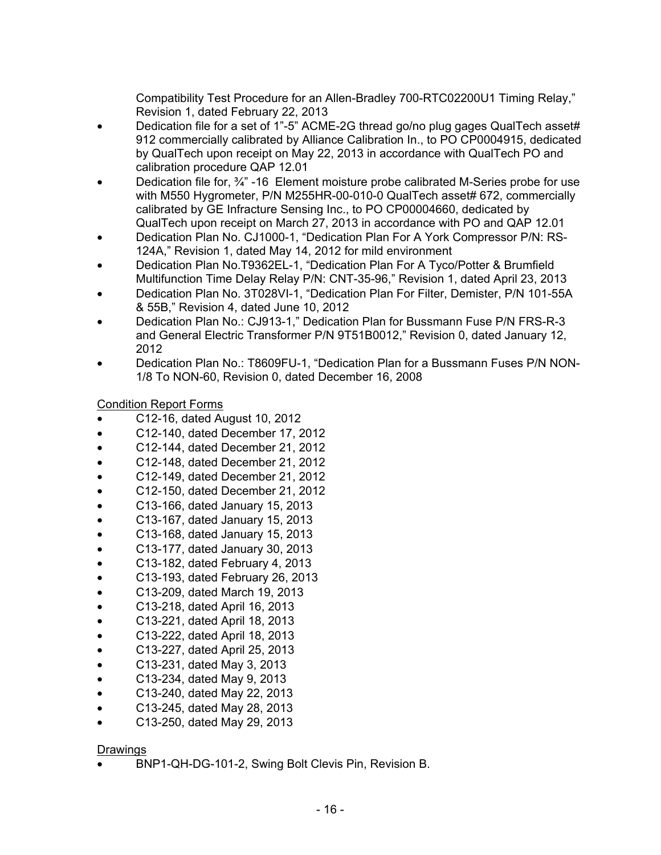Compatibility Test Procedure for an Allen-Bradley 700-RTC02200U1 Timing Relay," Revision 1, dated February 22, 2013

- Dedication file for a set of 1"-5" ACME-2G thread go/no plug gages QualTech asset# 912 commercially calibrated by Alliance Calibration In., to PO CP0004915, dedicated by QualTech upon receipt on May 22, 2013 in accordance with QualTech PO and calibration procedure QAP 12.01
- Dedication file for, ¾" -16 Element moisture probe calibrated M-Series probe for use with M550 Hygrometer, P/N M255HR-00-010-0 QualTech asset# 672, commercially calibrated by GE Infracture Sensing Inc., to PO CP00004660, dedicated by QualTech upon receipt on March 27, 2013 in accordance with PO and QAP 12.01
- Dedication Plan No. CJ1000-1, "Dedication Plan For A York Compressor P/N: RS-124A," Revision 1, dated May 14, 2012 for mild environment
- Dedication Plan No.T9362EL-1, "Dedication Plan For A Tyco/Potter & Brumfield Multifunction Time Delay Relay P/N: CNT-35-96," Revision 1, dated April 23, 2013
- Dedication Plan No. 3T028VI-1, "Dedication Plan For Filter, Demister, P/N 101-55A & 55B," Revision 4, dated June 10, 2012
- Dedication Plan No.: CJ913-1," Dedication Plan for Bussmann Fuse P/N FRS-R-3 and General Electric Transformer P/N 9T51B0012," Revision 0, dated January 12, 2012
- Dedication Plan No.: T8609FU-1, "Dedication Plan for a Bussmann Fuses P/N NON-1/8 To NON-60, Revision 0, dated December 16, 2008

Condition Report Forms

- C12-16, dated August 10, 2012
- C12-140, dated December 17, 2012
- C12-144, dated December 21, 2012
- C12-148, dated December 21, 2012
- C12-149, dated December 21, 2012
- C12-150, dated December 21, 2012
- C13-166, dated January 15, 2013
- C13-167, dated January 15, 2013
- C13-168, dated January 15, 2013
- C13-177, dated January 30, 2013
- C13-182, dated February 4, 2013
- C13-193, dated February 26, 2013
- C13-209, dated March 19, 2013
- C13-218, dated April 16, 2013
- C13-221, dated April 18, 2013
- C13-222, dated April 18, 2013
- C13-227, dated April 25, 2013
- C13-231, dated May 3, 2013
- C13-234, dated May 9, 2013
- C13-240, dated May 22, 2013
- C13-245, dated May 28, 2013
- C13-250, dated May 29, 2013

### Drawings

• BNP1-QH-DG-101-2, Swing Bolt Clevis Pin, Revision B.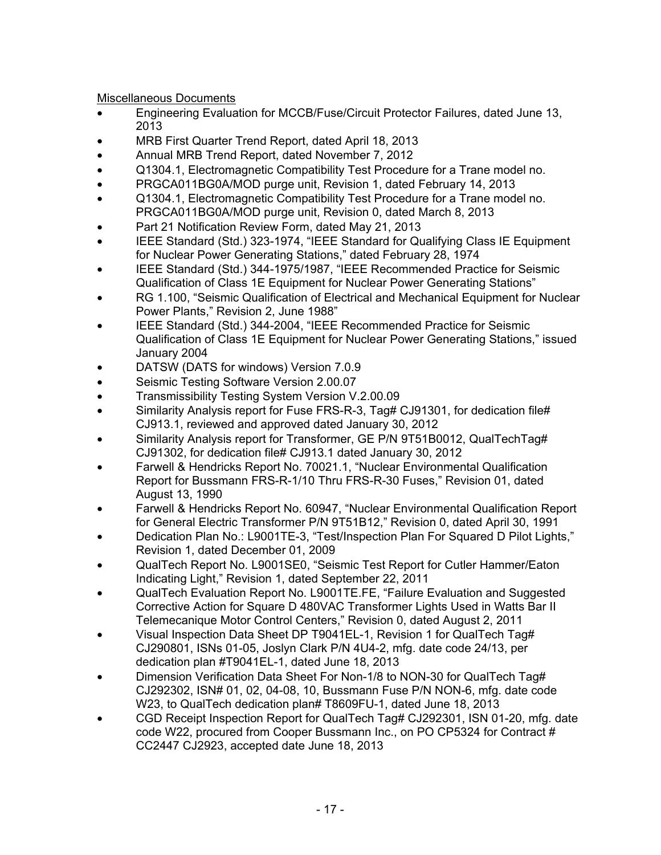Miscellaneous Documents

- Engineering Evaluation for MCCB/Fuse/Circuit Protector Failures, dated June 13, 2013
- MRB First Quarter Trend Report, dated April 18, 2013
- Annual MRB Trend Report, dated November 7, 2012
- Q1304.1, Electromagnetic Compatibility Test Procedure for a Trane model no.
- PRGCA011BG0A/MOD purge unit, Revision 1, dated February 14, 2013
- Q1304.1, Electromagnetic Compatibility Test Procedure for a Trane model no. PRGCA011BG0A/MOD purge unit, Revision 0, dated March 8, 2013
- Part 21 Notification Review Form, dated May 21, 2013
- IEEE Standard (Std.) 323-1974, "IEEE Standard for Qualifying Class IE Equipment for Nuclear Power Generating Stations," dated February 28, 1974
- IEEE Standard (Std.) 344-1975/1987, "IEEE Recommended Practice for Seismic Qualification of Class 1E Equipment for Nuclear Power Generating Stations"
- RG 1.100, "Seismic Qualification of Electrical and Mechanical Equipment for Nuclear Power Plants," Revision 2, June 1988"
- IEEE Standard (Std.) 344-2004, "IEEE Recommended Practice for Seismic Qualification of Class 1E Equipment for Nuclear Power Generating Stations," issued January 2004
- DATSW (DATS for windows) Version 7.0.9
- Seismic Testing Software Version 2.00.07
- Transmissibility Testing System Version V.2.00.09
- Similarity Analysis report for Fuse FRS-R-3, Tag# CJ91301, for dedication file# CJ913.1, reviewed and approved dated January 30, 2012
- Similarity Analysis report for Transformer, GE P/N 9T51B0012, QualTechTag# CJ91302, for dedication file# CJ913.1 dated January 30, 2012
- Farwell & Hendricks Report No. 70021.1, "Nuclear Environmental Qualification Report for Bussmann FRS-R-1/10 Thru FRS-R-30 Fuses," Revision 01, dated August 13, 1990
- Farwell & Hendricks Report No. 60947, "Nuclear Environmental Qualification Report for General Electric Transformer P/N 9T51B12," Revision 0, dated April 30, 1991
- Dedication Plan No.: L9001TE-3, "Test/Inspection Plan For Squared D Pilot Lights," Revision 1, dated December 01, 2009
- QualTech Report No. L9001SE0, "Seismic Test Report for Cutler Hammer/Eaton Indicating Light," Revision 1, dated September 22, 2011
- QualTech Evaluation Report No. L9001TE.FE, "Failure Evaluation and Suggested Corrective Action for Square D 480VAC Transformer Lights Used in Watts Bar II Telemecanique Motor Control Centers," Revision 0, dated August 2, 2011
- Visual Inspection Data Sheet DP T9041EL-1, Revision 1 for QualTech Tag# CJ290801, ISNs 01-05, Joslyn Clark P/N 4U4-2, mfg. date code 24/13, per dedication plan #T9041EL-1, dated June 18, 2013
- Dimension Verification Data Sheet For Non-1/8 to NON-30 for QualTech Tag# CJ292302, ISN# 01, 02, 04-08, 10, Bussmann Fuse P/N NON-6, mfg. date code W23, to QualTech dedication plan# T8609FU-1, dated June 18, 2013
- CGD Receipt Inspection Report for QualTech Tag# CJ292301, ISN 01-20, mfg. date code W22, procured from Cooper Bussmann Inc., on PO CP5324 for Contract # CC2447 CJ2923, accepted date June 18, 2013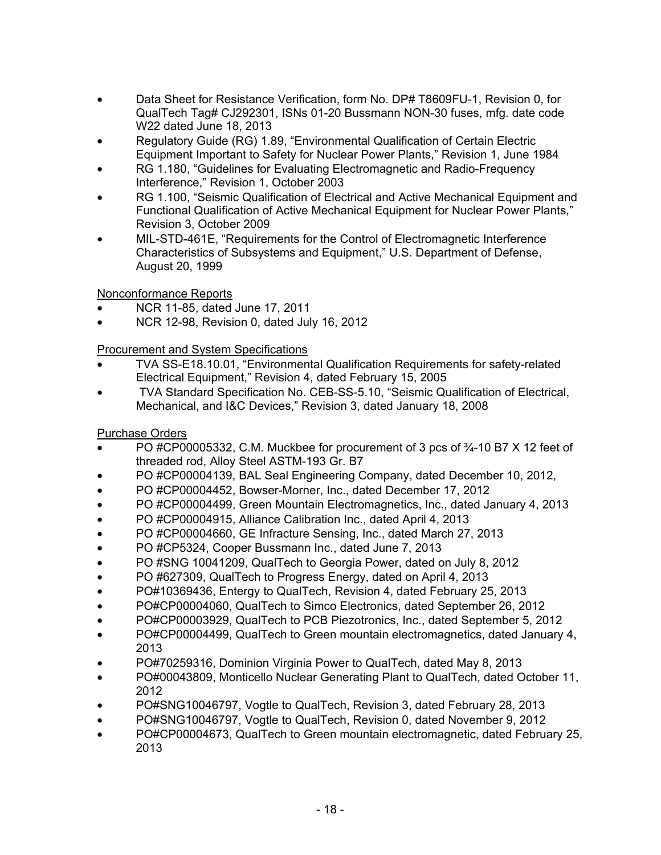- Data Sheet for Resistance Verification, form No. DP# T8609FU-1, Revision 0, for QualTech Tag# CJ292301, ISNs 01-20 Bussmann NON-30 fuses, mfg. date code W22 dated June 18, 2013
- Regulatory Guide (RG) 1.89, "Environmental Qualification of Certain Electric Equipment Important to Safety for Nuclear Power Plants," Revision 1, June 1984
- RG 1.180, "Guidelines for Evaluating Electromagnetic and Radio-Frequency Interference," Revision 1, October 2003
- RG 1.100, "Seismic Qualification of Electrical and Active Mechanical Equipment and Functional Qualification of Active Mechanical Equipment for Nuclear Power Plants," Revision 3, October 2009
- MIL-STD-461E, "Requirements for the Control of Electromagnetic Interference Characteristics of Subsystems and Equipment," U.S. Department of Defense, August 20, 1999

Nonconformance Reports

- NCR 11-85, dated June 17, 2011
- NCR 12-98, Revision 0, dated July 16, 2012

# Procurement and System Specifications

- TVA SS-E18.10.01, "Environmental Qualification Requirements for safety-related Electrical Equipment," Revision 4, dated February 15, 2005
- TVA Standard Specification No. CEB-SS-5.10, "Seismic Qualification of Electrical, Mechanical, and I&C Devices," Revision 3, dated January 18, 2008

# Purchase Orders

- PO #CP00005332, C.M. Muckbee for procurement of 3 pcs of  $\frac{3}{4}$ -10 B7 X 12 feet of threaded rod, Alloy Steel ASTM-193 Gr. B7
- PO #CP00004139, BAL Seal Engineering Company, dated December 10, 2012,
- PO #CP00004452, Bowser-Morner, Inc., dated December 17, 2012
- PO #CP00004499, Green Mountain Electromagnetics, Inc., dated January 4, 2013
- PO #CP00004915, Alliance Calibration Inc., dated April 4, 2013
- PO #CP00004660, GE Infracture Sensing, Inc., dated March 27, 2013
- PO #CP5324, Cooper Bussmann Inc., dated June 7, 2013
- PO #SNG 10041209, QualTech to Georgia Power, dated on July 8, 2012
- PO #627309, QualTech to Progress Energy, dated on April 4, 2013
- PO#10369436, Entergy to QualTech, Revision 4, dated February 25, 2013
- PO#CP00004060, QualTech to Simco Electronics, dated September 26, 2012
- PO#CP00003929, QualTech to PCB Piezotronics, Inc., dated September 5, 2012
- PO#CP00004499, QualTech to Green mountain electromagnetics, dated January 4, 2013
- PO#70259316, Dominion Virginia Power to QualTech, dated May 8, 2013
- PO#00043809, Monticello Nuclear Generating Plant to QualTech, dated October 11, 2012
- PO#SNG10046797, Vogtle to QualTech, Revision 3, dated February 28, 2013
- PO#SNG10046797, Vogtle to QualTech, Revision 0, dated November 9, 2012
- PO#CP00004673, QualTech to Green mountain electromagnetic, dated February 25, 2013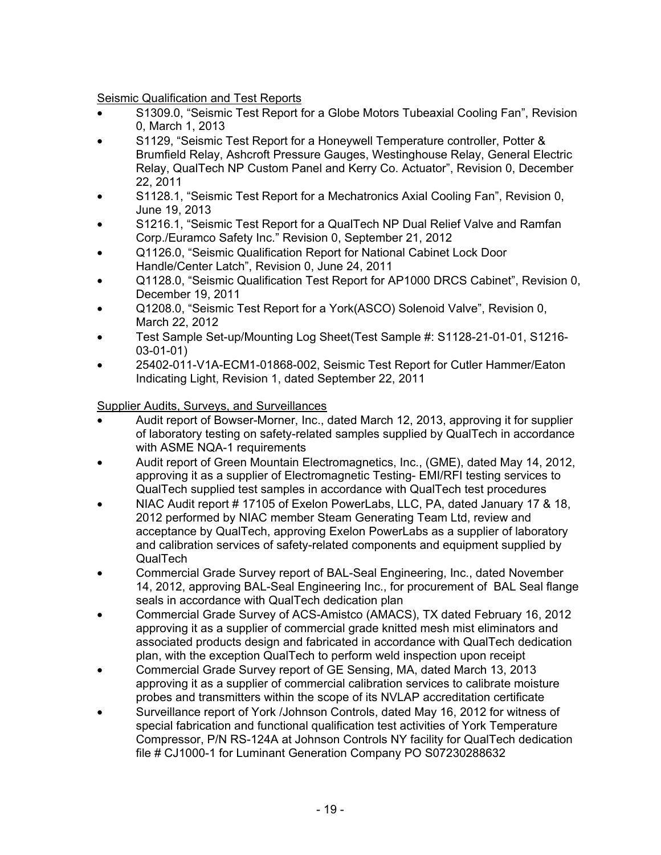Seismic Qualification and Test Reports

- S1309.0, "Seismic Test Report for a Globe Motors Tubeaxial Cooling Fan", Revision 0, March 1, 2013
- S1129, "Seismic Test Report for a Honeywell Temperature controller, Potter & Brumfield Relay, Ashcroft Pressure Gauges, Westinghouse Relay, General Electric Relay, QualTech NP Custom Panel and Kerry Co. Actuator", Revision 0, December 22, 2011
- S1128.1, "Seismic Test Report for a Mechatronics Axial Cooling Fan", Revision 0, June 19, 2013
- S1216.1, "Seismic Test Report for a QualTech NP Dual Relief Valve and Ramfan Corp./Euramco Safety Inc." Revision 0, September 21, 2012
- Q1126.0, "Seismic Qualification Report for National Cabinet Lock Door Handle/Center Latch", Revision 0, June 24, 2011
- Q1128.0, "Seismic Qualification Test Report for AP1000 DRCS Cabinet", Revision 0, December 19, 2011
- Q1208.0, "Seismic Test Report for a York(ASCO) Solenoid Valve", Revision 0, March 22, 2012
- Test Sample Set-up/Mounting Log Sheet(Test Sample #: S1128-21-01-01, S1216- 03-01-01)
- 25402-011-V1A-ECM1-01868-002, Seismic Test Report for Cutler Hammer/Eaton Indicating Light, Revision 1, dated September 22, 2011

Supplier Audits, Surveys, and Surveillances

- Audit report of Bowser-Morner, Inc., dated March 12, 2013, approving it for supplier of laboratory testing on safety-related samples supplied by QualTech in accordance with ASME NQA-1 requirements
- Audit report of Green Mountain Electromagnetics, Inc., (GME), dated May 14, 2012, approving it as a supplier of Electromagnetic Testing- EMI/RFI testing services to QualTech supplied test samples in accordance with QualTech test procedures
- NIAC Audit report # 17105 of Exelon PowerLabs, LLC, PA, dated January 17 & 18, 2012 performed by NIAC member Steam Generating Team Ltd, review and acceptance by QualTech, approving Exelon PowerLabs as a supplier of laboratory and calibration services of safety-related components and equipment supplied by QualTech
- Commercial Grade Survey report of BAL-Seal Engineering, Inc., dated November 14, 2012, approving BAL-Seal Engineering Inc., for procurement of BAL Seal flange seals in accordance with QualTech dedication plan
- Commercial Grade Survey of ACS-Amistco (AMACS), TX dated February 16, 2012 approving it as a supplier of commercial grade knitted mesh mist eliminators and associated products design and fabricated in accordance with QualTech dedication plan, with the exception QualTech to perform weld inspection upon receipt
- Commercial Grade Survey report of GE Sensing, MA, dated March 13, 2013 approving it as a supplier of commercial calibration services to calibrate moisture probes and transmitters within the scope of its NVLAP accreditation certificate
- Surveillance report of York /Johnson Controls, dated May 16, 2012 for witness of special fabrication and functional qualification test activities of York Temperature Compressor, P/N RS-124A at Johnson Controls NY facility for QualTech dedication file # CJ1000-1 for Luminant Generation Company PO S07230288632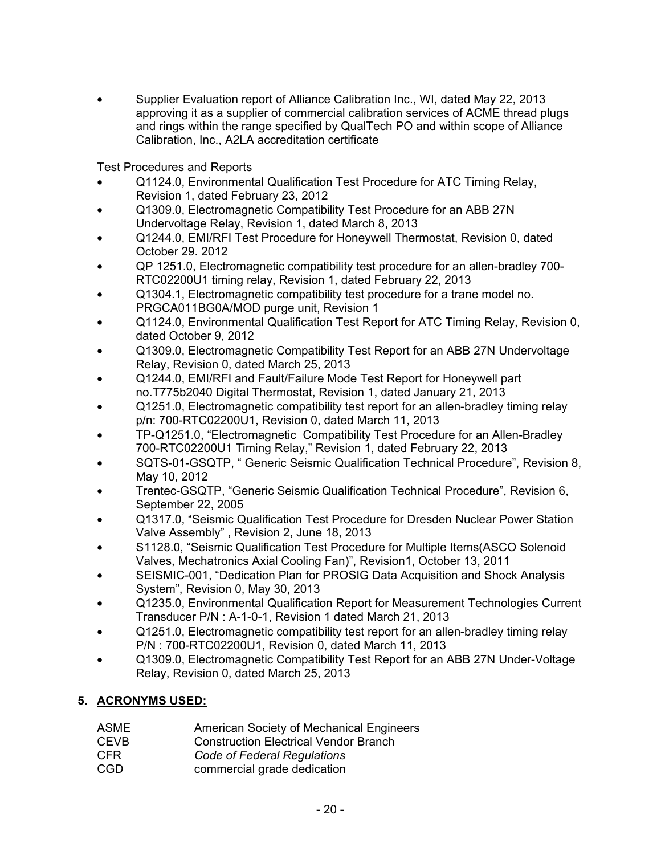• Supplier Evaluation report of Alliance Calibration Inc., WI, dated May 22, 2013 approving it as a supplier of commercial calibration services of ACME thread plugs and rings within the range specified by QualTech PO and within scope of Alliance Calibration, Inc., A2LA accreditation certificate

Test Procedures and Reports

- Q1124.0, Environmental Qualification Test Procedure for ATC Timing Relay, Revision 1, dated February 23, 2012
- Q1309.0, Electromagnetic Compatibility Test Procedure for an ABB 27N Undervoltage Relay, Revision 1, dated March 8, 2013
- Q1244.0, EMI/RFI Test Procedure for Honeywell Thermostat, Revision 0, dated October 29. 2012
- QP 1251.0, Electromagnetic compatibility test procedure for an allen-bradley 700- RTC02200U1 timing relay, Revision 1, dated February 22, 2013
- Q1304.1, Electromagnetic compatibility test procedure for a trane model no. PRGCA011BG0A/MOD purge unit, Revision 1
- Q1124.0, Environmental Qualification Test Report for ATC Timing Relay, Revision 0, dated October 9, 2012
- Q1309.0, Electromagnetic Compatibility Test Report for an ABB 27N Undervoltage Relay, Revision 0, dated March 25, 2013
- Q1244.0, EMI/RFI and Fault/Failure Mode Test Report for Honeywell part no.T775b2040 Digital Thermostat, Revision 1, dated January 21, 2013
- Q1251.0, Electromagnetic compatibility test report for an allen-bradley timing relay p/n: 700-RTC02200U1, Revision 0, dated March 11, 2013
- TP-Q1251.0, "Electromagnetic Compatibility Test Procedure for an Allen-Bradley 700-RTC02200U1 Timing Relay," Revision 1, dated February 22, 2013
- SQTS-01-GSQTP, " Generic Seismic Qualification Technical Procedure", Revision 8, May 10, 2012
- Trentec-GSQTP, "Generic Seismic Qualification Technical Procedure", Revision 6, September 22, 2005
- Q1317.0, "Seismic Qualification Test Procedure for Dresden Nuclear Power Station Valve Assembly" , Revision 2, June 18, 2013
- S1128.0, "Seismic Qualification Test Procedure for Multiple Items(ASCO Solenoid Valves, Mechatronics Axial Cooling Fan)", Revision1, October 13, 2011
- SEISMIC-001, "Dedication Plan for PROSIG Data Acquisition and Shock Analysis System", Revision 0, May 30, 2013
- Q1235.0, Environmental Qualification Report for Measurement Technologies Current Transducer P/N : A-1-0-1, Revision 1 dated March 21, 2013
- Q1251.0, Electromagnetic compatibility test report for an allen-bradley timing relay P/N : 700-RTC02200U1, Revision 0, dated March 11, 2013
- Q1309.0, Electromagnetic Compatibility Test Report for an ABB 27N Under-Voltage Relay, Revision 0, dated March 25, 2013

# **5. ACRONYMS USED:**

- ASME American Society of Mechanical Engineers
- CEVB Construction Electrical Vendor Branch
- CFR *Code of Federal Regulations*
- CGD commercial grade dedication